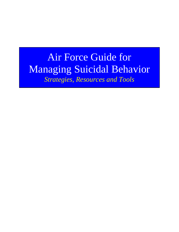# Air Force Guide for Managing Suicidal Behavior *Strategies, Resources and Tools*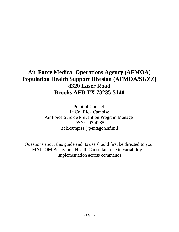# **Air Force Medical Operations Agency (AFMOA) Population Health Support Division (AFMOA/SGZZ) 8320 Laser Road Brooks AFB TX 78235-5140**

Point of Contact: Lt Col Rick Campise Air Force Suicide Prevention Program Manager DSN: 297-4285 rick.campise@pentagon.af.mil

Questions about this guide and its use should first be directed to your MAJCOM Behavioral Health Consultant due to variability in implementation across commands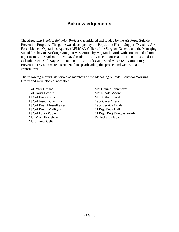# **Acknowledgements**

The *Managing Suicidal Behavior Project* was initiated and funded by the Air Force Suicide Prevention Program. The guide was developed by the Population Health Support Division, Air Force Medical Operations Agency (AFMOA), Office of the Surgeon General, and the Managing Suicidal Behavior Working Group. It was written by Maj Mark Oordt with content and editorial input from Dr. David Jobes, Dr. David Rudd, Lt Col Vincent Fonseca, Capt Tina Russ, and Lt Col John Stea. Col Wayne Talcott, and Lt Col Rick Campise of AFMOA's Community, Prevention Division were instrumental in spearheading this project and were valuable contributors.

The following individuals served as members of the Managing Suicidal Behavior Working Group and were also collaborators:

Col Peter Durand Col Harry Howitt Lt Col Hank Cashen Lt Col Joseph Chozinski Lt Col Dean Messelheiser Lt Col Kevin Mulligan Lt Col Laura Poole Maj Mark Bradshaw Maj Juanita Celie

Maj Connie Johnmeyer Maj Nicole Moore Maj Kathie Rearden Capt Carla Miera Capt Bernice Wilder CMSgt Dean Hall CMSgt (Ret) Douglas Stordy Dr. Robert Klepac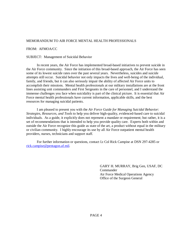#### MEMORANDUM TO AIR FORCE MENTAL HEALTH PROFESSIONALS

#### FROM: AFMOA/CC

#### SUBJECT: Management of Suicidal Behavior

In recent years, the Air Force has implemented broad-based initiatives to prevent suicide in the Air Force community. Since the initiation of this broad-based approach, the Air Force has seen some of its lowest suicide rates over the past several years. Nevertheless, suicides and suicide attempts still occur. Suicidal behavior not only impacts the lives and well-being of the individual, family, and friends, but it can also seriously impair the ability of affected Air Force units to accomplish their missions. Mental health professionals at our military installations are at the front lines assisting unit commanders and First Sergeants in the care of personnel, and I understand the immense challenges you face when suicidality is part of the clinical picture. It is essential that Air Force mental health professionals have current information, applicable skills, and the best resources for managing suicidal patients.

 I am pleased to present you with the *Air Force Guide for Managing Suicidal Behavior: Strategies, Resources, and Tools* to help you deliver high-quality, evidenced-based care to suicidal individuals. As a guide, it explicitly does not represent a mandate or requirement; but rather, it is a set of recommendations that is intended to help you provide quality care. Experts both within and outside the Air Force recognize this guide as state of the art, a product without equal in the military or civilian community. I highly encourage its use by all Air Force outpatient mental health providers, nurses, technicians and support staff.

For further information or questions, contact Lt Col Rick Campise at DSN 297-4285 or [rick.campise@pentagon.af.mil](mailto:rick.campise@pentagon.af.mil).

> GARY H. MURRAY, Brig Gen, USAF, DC Commander Air Force Medical Operations Agency Office of the Surgeon General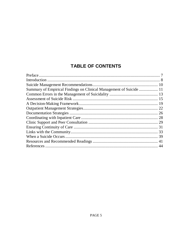# **TABLE OF CONTENTS**

| Summary of Empirical Findings on Clinical Management of Suicide  11 |  |
|---------------------------------------------------------------------|--|
|                                                                     |  |
|                                                                     |  |
|                                                                     |  |
|                                                                     |  |
|                                                                     |  |
|                                                                     |  |
|                                                                     |  |
|                                                                     |  |
|                                                                     |  |
|                                                                     |  |
|                                                                     |  |
|                                                                     |  |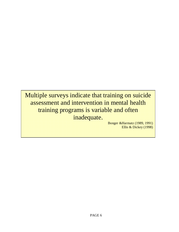Multiple surveys indicate that training on suicide assessment and intervention in mental health training programs is variable and often inadequate.

Bonger &Harmatz (1989, 1991) Ellis & Dickey (1998)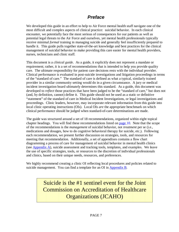# **Preface**

We developed this guide in an effort to help to Air Force mental health staff navigate one of the most difficult and complex aspects of clinical practice: suicidal behavior. In each clinical encounter, we potentially face the most serious of consequences for our patients as well as potential legal threats to the Air Force and ourselves, yet mental health professionals typically receive minimal *formal* training in managing suicide and generally feel insufficiently prepared to handle it. This guide pulls together state-of-the-art knowledge and best practices for the clinical management of suicidal behavior to make providing this care easier for mental health providers, nurses, technicians and clinic staff.

This document is a *clinical guide*. As a guide, it explicitly does not represent a mandate or requirement; rather, it is a set of recommendations that is intended to help you provide quality care. The ultimate responsibility for patient care decisions rests with the individual provider. Clinical performance is evaluated in post-suicide investigations and litigation proceedings in terms of the "standard of care." The standard of care is defined as what a typical, similarly trained provider in a similar community setting would do in a given circumstance. A jury or medical incident investigation board ultimately determines this standard. As a guide, this document was developed to *reflect* those practices that have been judged to be the "standard of care," but does not (and, by definition, cannot) define it. This guide should not be used as a static or definitive "statement" of the standard of care in Medical Incident Investigations, or legal investigations and proceedings. Clinic leaders, however, may incorporate relevant information from this guide into local clinic operating instructions (OIs). Local OIs *are* the appropriate benchmark on which clinical performance should be judged when standard-of-care determinations are made.

The guide was structured around a set of 18 recommendations, organized within eight topical chapter headings. You will find these recommendations listed on [page](#page-9-0) 10. Note that the scope of the recommendations is the *management* of suicidal behavior, not *treatment* per se (i.e., medications and dosages, how to do cognitive behavioral therapy for suicide, etc.). Following each recommendation, we present further discussion on strategies, tools, and resources for meeting that recommendation. Additionally, a set of appendixes contains a flow chart diagramming a process of care for management of suicidal behavior in mental health clinics (see Appendix A), suicide assessment and tracking tools, templates, and examples. We leave the use of specific strategies, tools, or resources to the discretion of individual professionals and clinics, based on their unique needs, resources, and preferences.

We highly recommend creating a clinic OI reflecting local procedures and policies related to suicide management. You can find a template for an OI in Appendix B.

> Suicide is the #1 sentinel event for the Joint Commission on Accreditation of Healthcare Organizations (JCAHO)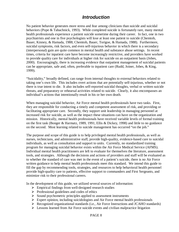## **Introduction**

No patient behavior generates more stress and fear among clinicians than suicide and suicidal behaviors (Pope & Tabachnick, 1993). While completed suicide is fortunately rare, many mental health professionals experience a patient suicide sometime during their career. In fact, one in two psychiatrists and one in five psychologists will lose at least one patient to suicide (Chemtob, Bauer, Kinney, & Hamada, 1988; Chemtob, Bauer, Torigoe, & Hamada, 1988). Furthermore, suicidal symptoms, risk factors, and even self-injurious behavior in which there is a secondary (interpersonal) gain are quite common in mental health and substance abuse settings. In recent times, criteria for inpatient care have become increasingly restrictive, and providers have worked to provide quality care for individuals at higher risk for suicide on an outpatient basis (Jobes, 2000). Encouragingly, there is increasing evidence that outpatient management of suicidal patients can be appropriate, safe and, often, preferable to inpatient care (Rudd, Joiner, Jobes, & King, 1999).

"Suicidality," broadly defined, can range from internal thoughts to external behaviors related to taking one's own life. This includes overt actions that are potentially self-injurious, whether or not there is true intent to die. It also includes self-reported suicidal thoughts, verbal or written suicide threats, and preparatory or rehearsal activities related to suicide. Clearly, it also encompasses an individual's actions that intentionally result in his or her own death.

When managing suicidal behavior, Air Force mental health professionals have two tasks. First, they are responsible for conducting a timely and competent assessment of risk, and providing or facilitating appropriate care. Secondly, they support unit leadership in managing personnel at increased risk for suicide, as well as the impact these situations can have on the organization and mission. Historically, mental health professionals have received variable levels of formal training on the first task (Bonger & Harmatz, 1989, 1991; Ellis & Dickey, 1998) and little to no guidance on the second. Most learning related to suicide management has occurred "on the job."

The purpose and scope of this guide is to help privileged mental health professionals, as well as nurses, technicians, and administrative staff, provide high-quality, evidence-based care to suicidal individuals, as well as consultation and support to units. Currently, no standardized training program for managing suicidal behavior exists within the Air Force Medical Service (AFMS). Individual mental health practitioners are left to evaluate for themselves the literature, assessment tools, and strategies. Although the decisions and actions of providers and staff will be evaluated as to whether the standard of care was met in the event of a patient's suicide, there is no Air Force written guidance to help mental health professionals meet this standard. We intend this guide to fill the gap by recommending tools, strategies, and resources to help behavioral health personnel provide high-quality care to patients, effective support to commanders and First Sergeants, and minimize risk to their professional careers.

In the development of this guide, we utilized several sources of information:

- $\triangleright$  Empirical findings from well-designed research studies
- $\triangleright$  Professional guidelines and codes of ethics
- $\triangleright$  Sound psychometric principles applied to assessment instruments
- $\triangleright$  Expert opinion, including suicidologists and Air Force mental health professionals
- $\triangleright$  Recognized organizational standards (i.e., Air Force Instructions and JCAHO standards)
- $\triangleright$  Lessons learned from Air Force suicide events and civilian malpractice litigation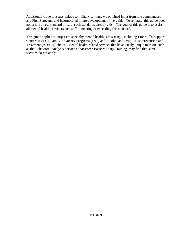Additionally, due to issues unique to military settings, we obtained input from line commanders and First Sergeants and incorporated it into development of the guide. To reiterate, this guide does not create a new standard of care; such standards already exist. The goal of this guide is to assist all mental health providers and staff in meeting or exceeding this standard.

This guide applies to outpatient specialty mental health care settings, including Life Skills Support Centers (LSSC), Family Advocacy Programs (FAP) and Alcohol and Drug Abuse Prevention and Treatment (ADAPT) clinics. Mental health related services that have a truly unique mission, such as the Behavioral Analysis Service at Air Force Basic Military Training, may find that some sections do not apply.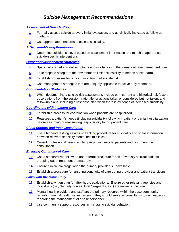# **Suicide Management Recommendations**

#### <span id="page-9-0"></span>**[Assessment of Suicide Ris](#page-14-0)k**

- **[1](#page-14-0)**: Formally assess suicide at every initial evaluation, and as clinically indicated at follow-up contacts.
- **[2](#page-16-0)**: Use appropriate measures to assess suicidality.

#### **[A Decision-Making Framework](#page-18-0)**

**[3](#page-18-0)**: Determine suicide risk level based on assessment information and match to appropriate suicide-specific interventions.

#### **[Outpatient Management Strategies](#page-21-0)**

- **[4](#page-21-0)**: Specifically target suicidal symptoms and risk factors in the formal outpatient treatment plan.
- **[5](#page-22-0)**: Take steps to safeguard the environment; limit accessibility to means of self-harm.
- **[6](#page-23-0)**: Establish processes for ongoing monitoring of suicide risk.
- **[7](#page-23-0)**: Use management strategies that are uniquely applicable to active duty members.

#### **[Documentation Strategie](#page-25-0)s**

**[8](#page-25-0)**: When documenting a suicide risk assessment, include both current and historical risk factors, observations from the session, rationale for actions taken or considered but not taken, and follow-up plans, including a response plan when there is evidence of increased suicidality.

#### **[Coordinating with Inpatient Care](#page-27-0)**

- **[9](#page-27-0)**: Establish a process for coordination when patients are hospitalized.
- **[1](#page-27-0)0**: Reassess a patient's needs (including suicidality) following inpatient or partial hospitalization before assuming or reassuming responsibility for outpatient care.

#### **[Clinic Support and Peer Consultatio](#page-28-0)n**

- **[1](#page-28-0)1**: Use a high-interest log as a clinic tracking procedure for suicidality and share information between relevant specialty mental health clinics.
- **[1](#page-29-0)2**: Consult professional peers regularly regarding suicidal patients and document the consultation.

#### **[Ensuring Continuity of Care](#page-30-0)**

- **[1](#page-30-0)3**: Use a standardized follow-up and referral procedure for all previously suicidal patients dropping out of treatment prematurely.
- **[1](#page-30-0)4**: Ensure clinical coverage when the primary provider is unavailable.
- **[1](#page-31-0)5**: Establish a procedure for ensuring continuity of care during provider and patient transitions.

#### **[Links with the Community](#page-32-0)**

- **[1](#page-32-0)6**: Establish a written plan for after-hours evaluations. Ensure other relevant agencies and individuals (i.e., Security Forces, First Sergeants, etc.) are aware of the plan.
- **[1](#page-32-0)7**: Mental health providers and staff are the primary resource within the base community regarding mental health issues; as such, they should serve as consultants to unit leadership regarding the management of at-risk personnel.
- **[1](#page-37-0)8**: Use community support resources in managing suicidal behavior.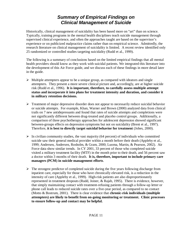# **Summary of Empirical Findings on Clinical Management of Suicide**

Historically, clinical management of suicidality has been based more on "art" than on science. Typically, training programs in the mental health disciplines teach suicide management through supervised clinical experience, and often the approaches taught are based on the supervisor's experience or on publicized malpractice claims rather than on empirical science. Admittedly, the research literature on clinical management of suicidality is limited. A recent review identified only 25 randomized or controlled studies targeting suicidality (Rudd et al., 1999).

The following is a summary of conclusions based on the limited empirical findings that all mental health providers should know as they work with suicidal patients. We integrated this literature into the development of this Air Force guide, and we discuss each of these findings in more detail later in the guide.

- $\triangleright$  Multiple attempters appear to be a unique group, as compared with ideators and single attempters. They present a more severe clinical picture and, accordingly, are at higher suicide risk (Rudd et al., 1996). **It is important, therefore, to carefully assess multiple attempt status and incorporate it into plans for treatment intensity and duration, and consider it in military retention decisions.**
- $\triangleright$  Treatment of major depressive disorder does not appear to necessarily reduce suicidal behavior or suicide attempts. For example, Khan, Warner and Brown (2000) analyzed data from clinical trails on 7 new antidepressants and found that rates of suicide attempts and completions were not significantly different between drug-treated and placebo control groups. Additionally, a comparison of three psychotherapy approaches for adolescent depression showed significant between-groups effects on depression symptoms but not on suicidality (Brent et al., 1997). Therefore, **it is best to directly target suicidal behavior for treatment** (Jobes, 2000).
- $\triangleright$  In civilian community studies, the vast majority (64 percent) of individuals who committed suicide saw their general medical provider within a month before their death (Appleby et al., 1999; Andersen, Andersen, Rosholm, & Gram, 2000; Luoma, Martin, & Pearson, 2002). Air Force data show similar trends. In CY 2001, 33 percent of those who completed suicide visited a military treatment facility (MTF) in the month prior to their death, and 56 percent saw a doctor within 3 months of their death. **It is, therefore, important to include primary care managers (PCM) in suicide management efforts**.
- $\triangleright$  The strongest predictor of completed suicide during the five years following discharge from inpatient care, especially for those who have chronically elevated risk, is a reduction in the intensity of care (Appleby et al., 1999). High-risk patients are also disproportionately represented in treatment dropouts (Rudd, Joiner, & Rajab, 1995). There is evidence, however, that simply maintaining contact with treatment-refusing patients through a follow-up letter or phone call leads to reduced suicide rates over a five-year period, as compared to no contact (Motto & Bostrum, 2001). There is clear evidence that **chronic-risk individuals (multiple attempters) are likely to benefit from on-going monitoring or treatment. Clinic processes to ensure follow-up and contact may be helpful.**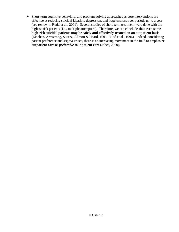¾ Short-term cognitive behavioral and problem-solving approaches as core interventions are effective at reducing suicidal ideation, depression, and hopelessness over periods up to a year (see review in Rudd et al., 2001). Several studies of short-term treatment were done with the highest-risk patients (i.e., multiple attempters). Therefore, we can conclude **that even some high-risk suicidal patients may be safely and effectively treated on an outpatient basis**  (Linehan, Armstrong, Suarez, Allmon & Heard, 1991; Rudd et al., 1996). Indeed, considering patient preference and stigma issues, there is an increasing movement in the field to emphasize **outpatient care as** *preferable* **to inpatient care** (Jobes, 2000).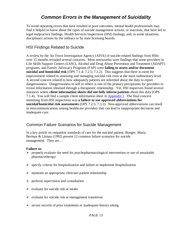# **Common Errors in the Management of Suicidality**

To avoid repeating errors that have resulted in poor outcomes, mental health professionals may find it helpful to know about the types of suicide management actions, or inactions, that have led to legal malpractice findings, Health Services Inspections (HSI) findings, and, in some situations, disciplinary actions by the military or by state licensing boards.

### HSI Findings Related to Suicide

A review by the Air Force Investigation Agency (AFIA) of suicide-related findings from HSIs over 15 months revealed several concerns. Most noteworthy were findings that some providers in Life Skills Support Centers (LSSC), Alcohol and Drug Abuse Prevention and Treatment (ADAPT) programs, and Family Advocacy Programs (FAP) were **failing to assess and/or document suicidal and homicidal risk** (OPS 7.1.4; 7.2.5; 7.3.2). This suggests that there is room for improvement related to assessing and managing suicidal risk even at the most rudimentary level. A second concern related to how adequately patients are informed about the duty to report dangerousness. Dangerousness to self or others is one of the primary precipitants for providers to reveal information obtained through a therapeutic relationship. Yet, HSI inspectors found several instances where **client information sheets did not fully inform patients** about this duty (OPS 7.1.4). You will find a sample client information sheet in Appendix J. The final concern stemming from HSI inspections was **a failure to use approved abbreviations for suicidal/homicidal risk assessments** (OPS 7.2.5; 7.3.2). Non-approved abbreviations can result in miscommunications among healthcare providers that can lead to inappropriate decisions and inadequate care.

### Common Failure Scenarios for Suicide Management

In a key article on outpatient standards of care for the suicidal patient, Bonger, Maris, Berman & Litman (1992) present 12 common failure scenarios for suicide management. They are…

#### **Failure to:**

- $\triangleright$  properly evaluate the need for psychopharmacological intervention or use of unsuitable pharmacotherapy
- $\triangleright$  specify criteria for hospitalization and failure to implement hospitalization
- $\triangleright$  maintain an appropriate clinician–patient relationship
- $\triangleright$  perform supervision and consultation
- $\triangleright$  evaluate for suicide risk at intake
- $\triangleright$  evaluate for suicide risk at management transitions
- $\triangleright$  secure records of prior treatments or inadequate history taking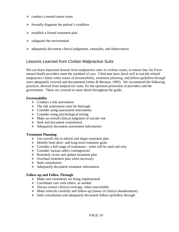- $\triangleright$  conduct a mental status exam
- $\triangleright$  formally diagnose the patient's condition
- $\triangleright$  establish a formal treatment plan
- $\triangleright$  safeguard the environment
- $\triangleright$  adequately document clinical judgments, rationales, and observations

### Lessons Learned from Civilian Malpractice Suits

We can learn important lessons from malpractice suits in civilian courts, to ensure that Air Force mental health providers meet the standard of care. Clinicians have fared well in suicide-related malpractice claims when issues of *foreseeability, treatment planning*, and *follow-up/follow through* were adequately covered and documented (Jobes & Berman, 1993). We recommend the following practices, derived from malpractice suits, for the optimum protection of providers and the government. These are covered in more detail throughout the guide.

#### **Foreseeability**

- $\triangleright$  Conduct a risk assessment
- $\triangleright$  The risk assessment must be thorough
- $\triangleright$  Consider using assessment instruments
- $\triangleright$  Consider using psychological testing
- $\triangleright$  Make an overall clinical judgment of suicide risk
- $\triangleright$  Seek and document consultation
- $\triangleright$  Adequately document assessment information

#### **Treatment Planning**

- $\triangleright$  Use overall risk to inform and shape treatment plan
- $\triangleright$  Identify both short- and long-term treatment goals
- $\triangleright$  Consider a full range of treatments—what will be used and why
- $\triangleright$  Consider various safety contingencies
- $\triangleright$  Routinely revise and update treatment plan
- $\triangleright$  Overhaul treatment plan when necessary
- $\triangleright$  Seek consultation
- $\triangleright$  Adequately document treatment information

#### **Follow-up and Follow Through**

- $\triangleright$  Make sure treatments are being implemented
- $\triangleright$  Coordinate care with others, as needed
- $\blacktriangleright$  Always ensure clinical coverage, when unavailable
- $\triangleright$  Make referrals carefully and follow-up (issues of clinical abandonment)
- $\triangleright$  Seek consultation and adequately document follow-up/follow through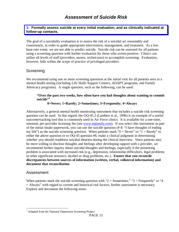<span id="page-14-0"></span>**1: Formally assess suicide at every initial evaluation, and as clinically indicated at follow-up contacts.**

The goal of a suicidality evaluation is to assess the risk of a suicidal act reasonably and consistently, in order to guide appropriate intervention, management, and treatment. As a low base-rate event, we are not able to predict suicide. Suicide risk can be assessed for all patients using a screening question with further evaluation for those who screen positive. Clinics can utilize all levels of staff (providers, nurses, technicians) to accomplish screening. Evaluation, however, falls within the scope of practice of privileged providers.

### **Screening**

We recommend using one or more screening questions at the initial visit for all patients seen in a mental health setting (including Life Skills Support Centers, ADAPT programs, and Family Advocacy programs). A single question, such as the following, can be used:

#### **"Over the past two weeks, how often have you had thoughts about wanting to commit suicide"<sup>1</sup>**

#### **0=Never; 1=Rarely; 2=Sometimes; 3=Frequently; 4=Always**

Alternatively, a general mental health monitoring instrument that includes a suicide risk screening question can be used. In this regard, the OQ-45.2 (Lambert et al., 1996) is an example of a useful outcome/tracking tool that is commonly used in Air Force clinics. It is available for a one-time, minimal, per-provider licensing fee (see [www.oqfamily.co](http://www.oqfamily.com/)m). If you select this instrument as part of the initial intake paperwork, you can use the suicide question (# 8: "I have thoughts of ending my life") as the suicide screening question. When patients mark " $0 =$  Never" or "1 = Rarely" to either the above question or to OQ-45 question #8, make a clinical judgment in determining whether you should readdress suicidal ideation during the clinical interview. Since patients may be more willing to disclose thoughts and feelings after developing rapport with a provider, we recommend further inquiry about suicidal thoughts and feelings, especially if the presenting problem is associated with increased risk (e.g., depression, relationship difficulties, legal problems or other significant stressors, alcohol or drug problems, etc.). **Ensure that you reconcile discrepancies between sources of information (written, verbal, collateral information) and document that reconciliation**.

#### Assessment

When patients mark the suicide screening question with " $2 =$  Sometimes," " $3 =$  Frequently" or "4 = Always" with regard to current and historical risk factors, further assessment is necessary. Explore and document the following areas:

 1 Adapted from the National Depression Screening Project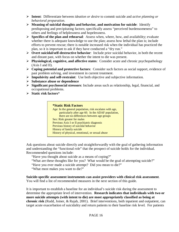- ¾ **Intent**: Differentiate between *ideation or desire* to commit suicide and *active planning or behavioral preparation*.
- ¾ **Meaning of suicidal thoughts and behavior, and motivation for suicide**: Identify predisposing and precipitating factors; specifically assess "perceived burdensomeness" to others and feelings of helplessness and hopelessness.
- ¾ **Specifics of the plan and rehearsal**: Assess when, where, how, and availability; evaluate whether there is adequate knowledge to use the plan; assess how lethal the plan is; include efforts to prevent rescue; there is notable increased risk when the individual has practiced the plan, so it is important to ask if they have conducted a "dry run."
- ¾ **Overt suicidal/self-destructive behavior**: Include prior suicidal behavior, in both the recent and distant past, with focus on whether the intent to die was present.
- ¾ **Physiological, cognitive, and affective states**: Consider acute and chronic psychopathology (Axis I and II).
- ¾ **Coping potential and protective factors**: Consider such factors as social support, evidence of past problem solving, and investment in current treatment.
- ¾ **Impulsivity and self-restraint**: Use both objective and subjective information.
- ¾ **Substance abuse or dependence**
- ¾ **Significant psychosocial stressors**: Include areas such as relationship, legal, financial, and occupational problems.
- ¾ **Static risk factors**\*



Ask questions about suicide directly and straightforwardly with the goal of gathering information and understanding the "functional role" that the prospect of suicide holds for the individual. Recommended questions include:

"Have you thought about suicide as a means of coping?"

"What are these thoughts like for you? What would be the goal of attempting suicide?"

"Have you ever made a suicide attempt? Did you mean to die?"

"What most makes you want to die?"

**Suicide-specific assessment instruments can assist providers with clinical risk assessment**. You will find a list of recommended measures in the next section of this guide.

It is important to establish a baseline for an individual's suicide risk during the assessment to determine the appropriate level of intervention. **Research indicates that individuals with two or more suicide attempts (with intent to die) are most appropriately classified as being at chronic risk** (Rudd, Joiner, & Rajab, 2001). Brief interventions, both inpatient and outpatient, can target acute exacerbation of suicidality and return patients to their baseline risk level. For patients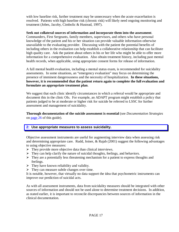<span id="page-16-0"></span>with low baseline risk, further treatment may be unnecessary when the acute exacerbation is resolved. Patients with high baseline risk (chronic risk) will likely need ongoing monitoring and treatment (Jobes, Jacoby, Cimbolic & Hustead, 1997).

#### **Seek out collateral sources of information and incorporate them into the assessment**.

Commanders, First Sergeants, family members, supervisors, and others who have personal knowledge of the patient and his or her situation can provide valuable information otherwise unavailable to the evaluating provider. Discussing with the patient the potential benefits of including others in the evaluation can help establish a collaborative relationship that can facilitate high quality care. Ask the patient about others in his or her life who might be able to offer more information for a comprehensive evaluation. Also obtain treatment history, including past mental health records, when applicable, using appropriate consent forms for release of information.

A full mental health evaluation, including a mental status exam, is recommended for suicidality assessments. In some situations, an "emergency evaluation" may focus on determining the presence of imminent dangerousness and the necessity of hospitalization. **In these situations, however, it is recommended that the patient return again to complete the full evaluation and formulate an appropriate treatment plan**.

We suggest that each clinic identify circumstances in which a referral would be appropriate and document this in the clinic OIs. For example, an ADAPT program might establish a policy that patients judged to be at moderate or higher risk for suicide be referred to LSSC for further assessment and management of suicidality.

**Thorough documentation of the suicide assessment is essential** (see *Documentation Strategies* on [page](#page-25-0) 26 of this guide).

#### **2: Use appropriate measures to assess suicidality.**

Objective assessment instruments are useful for augmenting interview data when assessing risk and determining appropriate care. Rudd, Joiner, & Rajab (2001) suggest the following advantages to using objective measures:

- $\triangleright$  They provide more objective data than clinical interviews.
- $\triangleright$  They can help clarify the nature of suicidal thoughts, feelings, and behaviors.
- $\triangleright$  They are a potentially less threatening mechanism for a patient to express thoughts and feelings.
- $\triangleright$  They have known reliability and validity.
- $\triangleright$  They can measure subtle changes over time.

It is notable, however, that virtually no data support the idea that psychometric instruments can improve our prediction of suicidal acts.

As with all assessment instruments, data from suicidality measures should be integrated with other sources of information and should not be used alone to determine treatment decisions. In addition, as stated earlier, it is important to reconcile discrepancies between sources of information in the clinical documentation.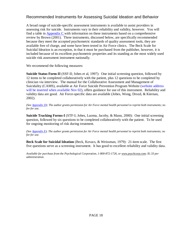### Recommended Instruments for Assessing Suicidal Ideation and Behavior

A broad range of suicide-specific assessment instruments is available to assist providers in assessing risk for suicide. Instruments vary in their reliability and validity, however. You will find a table in Appendix C with information on these instruments based on a comprehensive review by Brown (2001). Three instruments, discussed below, are specifically recommended because they meet the accepted psychometric standards of quality assessment tools, they are available free of charge, and some have been tested in Air Force clinics. The Beck Scale for Suicidal Ideation is an exception, in that it must be purchased from the publisher, however, it is included because of its excellent psychometric properties and its standing as the most widely used suicide risk assessment instrument nationally.

We recommend the following measures:

**Suicide Status Form**-**II** (SSF-II; Jobes et al, 1997): One initial screening question, followed by 12 items to be completed collaboratively with the patient, plus 12 questions to be completed by clinician via interview. The manual for the Collaborative Assessment and Management of Suicidality (CAMS), available at Air Force Suicide Prevention Program Website (website address will be inserted when available Nov 02), offers guidance for use of this instrument. Reliability and validity data are good. Air Force-specific data are available (Jobes, Wong, Drozd, & Kiernan, 2002).

*(See Appendix D); The author grants permission for Air Force mental health personnel to reprint both instruments; no fee for use.* 

**Suicide Tracking Forms-I** (STF-I; Jobes, Luoma, Jacoby, & Mann, 2000): One initial screening question, followed by six questions to be completed collaboratively with the patient. To be used for ongoing monitoring of risk during treatment.

*(See Appendix E); The author grants permission for Air Force mental health personnel to reprint both instruments; no fee for use.* 

**Beck Scale for Suicidal Ideation** (Beck, Kovacs, & Weissman, 1979): 21-item scale. The first five questions serve as a screening instrument. It has good to excellent reliability and validity data.

*Available for purchase from the Psychological Corporation, 1-800-872-1726, or [www.psychcorp.com](http://www.psychcorp.com/); \$1.33 per administration.*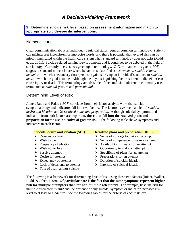# **A Decision-Making Framework**

<span id="page-18-0"></span>**3: Determine suicide risk level based on assessment information and match to appropriate suicide-specific interventions.**

#### **Nomenclature**

Clear communication about an individual's suicidal status requires common terminology. Patients can misinterpret inconsistent or imprecise words, and there is potential that level of risk can be miscommunicated within the health care system when standard terminology does not exist (Rudd et al., 2001). Suicide-related terminology is complex and it continues to be debated in the field of suicidology. Currently, there is no agreed upon terminology. O'Carroll and colleagues (1996) suggest a standard nomenclature where behavior is classified as *instrumental suicide-related behavior*, in which a secondary (interpersonal) gain is driving an individual's actions, or *suicidal acts*, in which the goal is to die*.* Although the key distinguishing factor is intent to die, either can cause injury or death. This terminology avoids some of the confusion inherent in commonly used terms such as *suicidal gesture* and *parasuicidal*.

### Determining Level of Risk

Joiner, Rudd and Rajab (1997) conclude from their factor-analytic work that suicide symptomatology and indicators fall into two factors. The factors have been labeled 1) *suicidal desire and ideation* and 2) *resolved plans and preparation.* Although suicidal symptoms and indicators from both factors are important, **those that fall into the resolved plans and preparation factor are indicative of greater risk**. The following table shows symptoms and indicators in each factor.

| <b>Suicidal desire and ideation (SDI)</b> | <b>Resolved plans and preparation (RPP)</b>           |
|-------------------------------------------|-------------------------------------------------------|
| $\triangleright$ Reasons for living       | $\triangleright$ Sense of courage to make an attempt  |
| Wish to die                               | Sense of competence to make an attempt                |
| Frequency of ideation                     | $\triangleright$ Availability of means for an attempt |
| Wish not to live                          | Opportunity to make an attempt                        |
| Passive attempt                           | Specificity of plans for an attempt                   |
| $\triangleright$ Desire for attempt       | $\triangleright$ Preparations for an attempt          |
| Expectancy of attempt                     | Duration of suicidal ideation                         |
| Lack of deterrents to attempt             | Intensity of suicidal ideation                        |
| Talk of death and/or suicide              |                                                       |

The following is a framework for determining level of risk using these two factors (Joiner, Walker, Rudd, & Jobes, 1999). **Of particular note is the fact that the same symptoms represent higher risk for multiple attempters than for non-multiple attempters**. For example, baseline-risk for multiple attempters is *mild* and the presence of any suicidal symptom or indicator increases risk level to at least to *moderate*. See the following tables for the criteria of each risk level.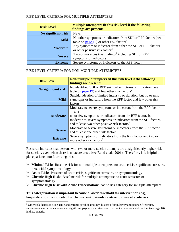#### <span id="page-19-0"></span>RISK LEVEL CRITERIA FOR MULTIPLE ATTEMPTERS

| <b>Risk Level</b>   | Multiple attempters fit this risk level if the following<br>findings are present:                                                   |
|---------------------|-------------------------------------------------------------------------------------------------------------------------------------|
| No significant risk | <b>Never</b>                                                                                                                        |
| <b>Mild</b>         | No other symptoms or indicators from SDI or RPP factors (see<br>table on $\frac{page}{page}$ 19) or other risk factors <sup>2</sup> |
| <b>Moderate</b>     | Any symptom or indicator from either the SDI or RPP factors<br>or other positive risk factor <sup>2</sup>                           |
| <b>Severe</b>       | Two or more positive findings <sup>2</sup> including SDI or RPP<br>symptoms or indicators                                           |
| <b>Extreme</b>      | Severe symptoms or indicators of the RPP factor                                                                                     |

#### RISK LEVEL CRITERIA FOR NON-MULTIPLE ATTEMPTERS

| <b>Risk Level</b>   | Non-multiple attempters fit this risk level if the following<br>findings are present:                                                                                                                                                                                    |
|---------------------|--------------------------------------------------------------------------------------------------------------------------------------------------------------------------------------------------------------------------------------------------------------------------|
| No significant risk | No identified SDI or RPP suicidal symptoms or indicators (see<br>table on $\frac{page}{19}$ and few other risk factors <sup>2</sup>                                                                                                                                      |
| <b>Mild</b>         | Suicidal ideation of limited intensity or duration, but no or mild<br>symptoms or indicators from the RPP factor and few other risk<br>factors <sup>2</sup>                                                                                                              |
| <b>Moderate</b>     | Moderate to severe symptoms or indicators from the RPP factor,<br><b>OR</b><br>no or few symptoms or indicators from the RPP factor, but<br>moderate to severe symptoms or indicators from the SDI factors,<br>and at least two other positive risk factors <sup>2</sup> |
| <b>Severe</b>       | Moderate to severe symptoms or indicators from the RPP factor<br>and at least one other risk factor <sup>2</sup>                                                                                                                                                         |
| <b>Extreme</b>      | Severe symptoms or indicators from the RPP factor and two or<br>more other risk factors <sup>2</sup>                                                                                                                                                                     |

Research indicates that persons with two or more suicide attempts are at significantly higher risk for suicide, even when there is no acute crisis (see Rudd et al., 2001). Therefore, it is helpful to place patients into four categories:

- ¾ **Minimal Risk**: Baseline risk for non-multiple attempters; no acute crisis, significant stressors, or suicidal symptomatology
- ¾ **Acute Risk**: Presence of acute crisis, significant stressors, or symptomatology
- ¾ **Chronic High Risk**: Baseline risk for multiple attempters; no acute stressors or symptomatology
- ¾ **Chronic High Risk with Acute Exacerbation**: Acute risk category for multiple attempters

#### **This categorization is important because a lower threshold for intervention (e.g., hospitalization) is indicated for chronic risk patients relative to those at acute risk.**

<sup>&</sup>lt;sup>2</sup> Other risk factors include acute and chronic psychopathology, history of impulsivity and poor self-restraint, substance abuse or dependence, and significant psychosocial stressors. Do not include static risk factors (see page 16) in these criteria.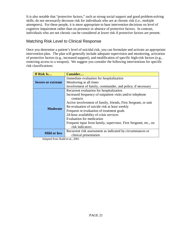It is also notable that "protective factors," such as strong social support and good problem-solving skills, do not necessarily decrease risk for individuals who are at chronic risk (i.e., multiple attempters). For these people, it is more appropriate to base intervention decisions on level of cognitive impairment rather than on presence or absence of protective factors. In contrast, individuals who are not chronic can be considered at lower risk if protective factors are present.

### Matching Risk Level to Clinical Response

Once you determine a patient's level of suicidal risk, you can formulate and activate an appropriate intervention plan. The plan will generally include adequate supervision and monitoring, activation of protective factors (e.g., increased support), and modification of specific high-risk factors (e.g., removing access to a weapon). We suggest you consider the following interventions for specific risk classifications:

| If Risk Is               | Consider                                                         |
|--------------------------|------------------------------------------------------------------|
|                          | Immediate evaluation for hospitalization                         |
| <b>Severe or extreme</b> | Monitoring at all times                                          |
|                          | Involvement of family, commander, and police, if necessary       |
|                          | Recurrent evaluation for hospitalization                         |
|                          | Increased frequency of outpatient visits and/or telephone        |
|                          | contacts                                                         |
|                          | Active involvement of family, friends, First Sergeant, or unit   |
| <b>Moderate</b>          | Re-evaluation of suicide risk at least weekly                    |
|                          | Frequent re-evaluation of treatment goals                        |
|                          | 24-hour availability of crisis services                          |
|                          | Evaluation for medication                                        |
|                          | Frequent input from family, supervisor, First Sergeant, etc., on |
|                          | risk indicators                                                  |
| <b>Mild or less</b>      | Recurrent risk assessment as indicated by circumstances or       |
|                          | clinical presentation                                            |

Adapted from Rudd et al., 2001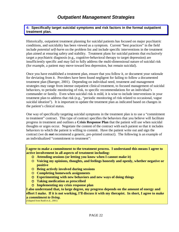<span id="page-21-0"></span>**4: Specifically target suicidal symptoms and risk factors in the formal outpatient treatment plan.**

Historically, outpatient treatment planning for suicidal patients has focused on major psychiatric conditions, and suicidality has been viewed as a symptom. Current "best practices" in the field include *potential self-harm* on the problem list and include specific interventions in the treatment plan aimed at ensuring safety and stability. Treatment plans for suicidal patients that exclusively target a psychiatric diagnosis (e.g., cognitive-behavioral therapy to target depression) are insufficiently specific and may fail to fully address the multi-dimensional nature of suicidal risk (for example, a patient may move toward less depression, but remain suicidal).

Once you have established a treatment plan, ensure that you follow it, or document your rationale for deviating from it. Providers have been found negligent for failing to follow a documented treatment plan (Baerger, 2001). Depending on individual need, treatment and management strategies may range from intense outpatient clinical treatment, to focused management of suicidal behaviors, to periodic monitoring of risk, to specific recommendations for an individual's commander or family. Even when suicidal risk is mild, it is wise to include interventions in your treatment plan to address that risk (e.g., "periodic monitoring of risk related to occasional, vague suicidal ideation"). It is important to update the treatment plan as indicated based on changes in the patient's clinical status.

One way of specifically targeting suicidal symptoms in the treatment plan is to use a "commitment to treatment" contract. This type of contract specifies the behaviors that you believe will facilitate progress in treatment and outlines a **Crisis Response Plan** that the patient will use when suicidal thoughts or urges occur. Negotiate the content of the contract with each patient so that it includes behaviors to which the patient is willing to commit. Have the patient write out and sign the contract (we do *not* recommend a generic, pre-printed contract). The following is an example of an individualized "commitment to treatment":

**I agree to make a commitment to the treatment process. I understand this means I agree to active involvement in all aspects of treatment including:** 

- { **Attending sessions (or letting you know when I cannot make it)**
- { **Voicing my opinions, thoughts, and feelings honestly and openly, whether negative or positive**
- { **Being actively involved during sessions**
- { **Completing homework assignments**
- { **Experimenting with new behaviors and new ways of doing things**
- { **Taking medication as prescribed**
- { **Implementing my crisis response plan**

**I also understand that, to large degree, my progress depends on the amount of energy and effort I make. If it is not working, I'll discuss it with my therapist. In short, I agree to make a** *commitment to living***.** 

(Adapted from Rudd et al., 2001)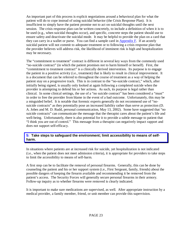<span id="page-22-0"></span>An important part of this process is explicit negotiations around a behavioral plan for what the patient will do to cope instead of using suicidal behavior (the Crisis Response Plan). It is insufficient to simply have the patient promise not to act on suicidal thoughts until the next session. The crisis response plan can be written concretely, to include a definition of when it is to be used (e.g., when suicidal thoughts occur), and specific, concrete steps the patient should use to ensure safety and deactivate the suicidal mode. It may be helpful to provide the plan on a card that they can carry in a wallet or purse. You can find a sample card in Appendix F. If an acutely suicidal patient will not commit to adequate treatment or to following a crisis response plan that the provider believes will address risk, the likelihood of imminent risk is high and hospitalization may be necessary.

The "commitment to treatment" contract is different in several key ways from the commonly used "no-suicide contract" (in which the patient promises not to harm himself or herself). First, the "commitment to treatment contract" is a clinically derived intervention. Its purpose is to engage the patient in a positive activity (i.e., treatment) that is likely to result in clinical improvement. It is a document that can be referred to throughout the course of treatment as a way of helping the patient stay on a progressive track. This is in contrast to the "no-suicide contract," which, after initially being signed, is usually only looked at again following a completed suicide when the provider is attempting to defend his or her actions. As such, its purpose is legal rather than clinical. In some clinical settings, the use of a "no suicide contract" has been considered a "must" in order to free the provider from blame in the event of a bad outcome. Unfortunately, this may be a misguided belief. It is notable that forensic experts generally do not recommend use of "nosuicide contracts" as they potentially pose an increased liability rather than serve as protection (D. A. Jobes and M. D. Rudd, personal communication, May 13, 2002). Some have suggested that "no suicide contracts" can communicate the message that the therapist cares about the patient's life and well-being. Unfortunately, there is also potential for it to provide a subtle message to patient that "I think you are out of control." This message from a therapist can negatively impact rapport and does not support self-efficacy.

#### **5: Take steps to safeguard the environment; limit accessibility to means of selfharm.**

In situations where patients are at increased risk for suicide, yet hospitalization is not indicated (i.e., when the patient does not meet admission criteria), it is appropriate for providers to take steps to limit the accessibility to means of self-harm.

A first step can be to facilitate the removal of personal firearms. Generally, this can be done by counseling the patient and his or her support system (i.e., First Sergeant, family, friends) about the possible dangers of keeping the firearm available and recommending it be removed from the patient's access. The Security Forces will generally secure personal firearms in their armory. Follow-up inquiry as to whether firearms were removed is clearly indicated.

It is important to make sure medications are supervised, as well. After appropriate instruction by a medical provider, a family member, friend, or unit member can provide this supervision.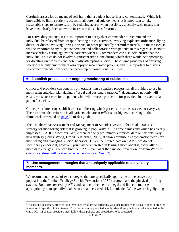<span id="page-23-0"></span>Carefully assess for all means of self-harm that a patient has seriously contemplated. While it is impossible to limit a patient's access to all potential suicide means, it is important to take reasonable steps to ensure safety by reducing access when possible, especially with means that have most clearly been shown to increase risk, such as firearms.

For active duty patients, it is also important to notify their commander to recommend the individual be relieved from weapon-bearing duties, activities involving explosive ordinance, flying duties, or duties involving knives, poisons, or other potentially harmful materials. In most cases, it will be important to try to get cooperation and collaboration with patients in this regard so as not to increase risk by acting against the patient's wishes. Commanders can also help ensure that the individual's duties do not involve significant time alone during which there would be opportunity for dwelling on problems and potentially attempting suicide. These same principles of ensuring safety of the duty environment also apply to incarcerated patients, and it is important to discuss safety recommendations with the leadership of correctional facilities.

#### **6: Establish processes for ongoing monitoring of suicide risk.**

Clinics and providers can benefit from establishing a standard process for all providers to use in monitoring suicidal risk. Having a "usual and customary practice"<sup>3</sup> documented not only will ensure consistent care for all patients, but will increase protection for providers in the event of a patient's suicide.

Clinic procedures can establish criteria indicating which patients are to be assessed at every visit. The recommended criterion is all patients who are at *mild* risk or higher, according to the framework presented on [page](#page-19-0) 20 of this guide.

The Collaborative Assessment and Management of Suicide (CAMS; Jobes et al., 2000) is a strategy for monitoring risk that is growing in popularity in Air Force clinics and which has clearly impressed JCAHO inspectors. While there are only preliminary empirical data on this relatively new strategy (Jobes, Wong, Drozd, & Kiernan, 2002), it shows promise as a systematic means for monitoring and managing suicidal behavior. Given the limited data on CAMS, we do not specifically endorse it, however, you may be interested in learning more about it, especially as more data emerges. You can find the CAMS manual at the Suicide Prevention Program Website (website address will be inserted when available in Nov 02).

#### **7: Use management strategies that are uniquely applicable to active duty members.**

We recommend the use of two strategies that are specifically applicable to the active duty population: the Limited Privilege Suicide Prevention (LPSP) program and the physical profiling system. Both are covered by AFIs and can help the medical, legal and line communities appropriately manage individuals who are at increased risk for suicide. While we are highlighting

<sup>&</sup>lt;sup>3</sup> "Usual and customary practice" is a term used by attorneys reflecting what one routinely or typically does in practice in relation to specific clinical issues. Providers are most protected legally when these practices are documented in the clinic OIs. Of course, providers must follow these policies and procedures to be protected.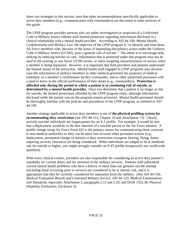these two strategies in this section, note that other recommendations specifically applicable to active duty members (e.g., communication with commanders) are discussed in other sections of this guide.

The LPSP program provides persons who are under investigation or suspicion of a Uniformed Code of Military Justice offense with limited protection regarding information disclosed in a clinical relationship with a mental health provider. According to AFI 44-109, *Mental Health, Confidentiality and Military Law*, the objective of the LPSP program is "to identify and treat those Air Force members who, because of the stress of impending disciplinary action under the Uniform Code of Military Justice (UCMJ), pose a genuine risk of suicide." The intent is to encourage helpseeking by reducing barriers to care. Information that is protected under this program may not be used in the existing or any future UCMJ action, or when weighing characterization of service when a member is being separated. However, it is important that both providers and patients understand the limited nature of the protection. Mental health staff engaged in LPSP programs may disclose case-file information of military members to other medical personnel for purposes of medical treatment, to a member's confinement facility commander, and to other authorized personnel with a need to know in the official performance of their duties (e.g., commanders). **Protection is afforded only during the period in which a patient is at continuing risk of suicide, as determined by a mental health provider.** Once you determine that a patient is no longer at risk for suicide, the limited protections afforded by the LPSP program cease, although information disclosed while the patient was on the program remain protected. Mental health personnel should be thoroughly familiar with the policies and procedures of the LPSP program, as outlined in AFI 44-109.

Another strategy applicable to active duty members is use of **the physical profiling system for recommending duty restrictions** (see AFI 48-123, Chapter 10 and Attachment 13). Clearly, actively suicidal individuals are inappropriate for an S-1 profile. For example, it would be rare that a deployment would be in the best interests of a suicidal person or the Air Force mission. A profile change using Air Force Form 422 is the primary means for communicating these concerns to non-medical authorities so they can be taken into account when personnel actions (e.g., deployment, permanent change of station) or duty restrictions (weapons bearing, flying, duties requiring security clearance) are being considered. When individuals are judged to be at moderate risk for suicide or higher, you might strongly consider an S-4T profile (temporarily not world-wide qualified).

With every clinical contact, providers are also responsible for considering an active duty patient's suitability for current duties and for retention in the military services. Patients with substantial current mental health problems who have a history of more than one genuine suicide attempt (including those occurring prior to service) are considered to be at chronic risk, and it is appropriate that they be carefully considered for separation from the military. (See AFI 44-156, *Medical Evaluation Boards and Continued Military Service*; AFI 44-123, *Medical Examinations and Standards,* especially Attachment 2, paragraphs 2.12 and 2.20; and DoDI 1332.38, *Physical Disability Evaluation*, Enclosure 5).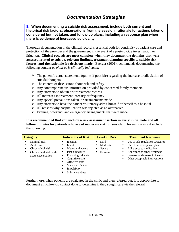<span id="page-25-0"></span>**8: When documenting a suicide risk assessment, include both current and historical risk factors, observations from the session, rationale for actions taken or considered but not taken, and follow-up plans, including a response plan when there is evidence of increased suicidality.**

Thorough documentation in the clinical record is essential both for continuity of patient care and protection of the provider and the government in the event of a post-suicide investigation or litigation. **Clinical records are most complete when they document the domains that were assessed related to suicide, relevant findings, treatment planning specific to suicide risk factors, and the rationale for decisions made**. Baerger (2001) recommends documenting the following content *as often as is clinically indicated*:

- $\triangleright$  The patient's actual statements (quotes if possible) regarding the increase or alleviation of suicidal thoughts
- $\triangleright$  The content of discussions about risk and safety
- $\triangleright$  Any contemporaneous information provided by concerned family members
- $\triangleright$  Any attempts to obtain prior treatment records
- $\triangleright$  All increases in treatment intensity or frequency
- $\triangleright$  Any special precautions taken, or arrangements made
- $\triangleright$  Any attempts to have the patient voluntarily admit himself or herself to a hospital
- $\triangleright$  All reasons why hospitalization was rejected as an alternative
- $\triangleright$  Evening, weekend, and emergency arrangements that were made

#### **It is recommended that you include a risk assessment section in every initial note and all follow-up notes for patients who are at moderate risk for suicide**. This section might include the following:

| <b>Category</b>                                                                                            | <b>Indicators of Risk</b>                                                                                                                                                                                                                  | <b>Level of Risk</b>                                      | <b>Treatment Response</b>                                                                                                                                                                                   |
|------------------------------------------------------------------------------------------------------------|--------------------------------------------------------------------------------------------------------------------------------------------------------------------------------------------------------------------------------------------|-----------------------------------------------------------|-------------------------------------------------------------------------------------------------------------------------------------------------------------------------------------------------------------|
| Minimal risk<br>п.<br>Acute risk<br>Chronic high risk<br>Chronic high risk with<br>٠<br>acute exacerbation | Ideation<br>Intent<br>п<br>Means and access<br>٠<br>Past suicidality<br>٠<br>Physiological state<br>п<br>Cognitive state<br>٠<br>Affective state<br>$\blacksquare$<br>Static risk factors<br>п<br>Impulsivity<br>٠<br>٠<br>Substance abuse | Mild<br>п<br>Moderate<br>п<br>Severe<br>п<br>Extreme<br>п | Use of self-regulation strategies<br>٠<br>Use of crisis response plan<br>Adherence to medication<br>Adherence to other treatment<br>Increase or decrease in ideation<br>٠<br>Other acceptable interventions |

Furthermore, when patients are evaluated in the clinic and then referred out, it is appropriate to document all follow-up contact done to determine if they sought care via the referral.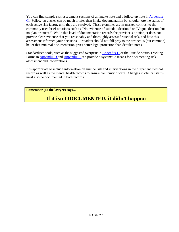You can find sample risk-assessment sections of an intake note and a follow-up note in Appendix G. Follow-up entries can be much briefer than intake documentation but should note the status of each active risk factor, until they are resolved. These examples are in marked contrast to the commonly used brief notations such as "No evidence of suicidal ideation," or "Vague ideation, but no plan or intent." While this level of documentation records the provider's opinion, it does not provide clear evidence that you reasonably and thoroughly assessed suicidal risk, and how this assessment informed your decisions. Providers should not fall prey to the erroneous (but common) belief that minimal documentation gives better legal protection than detailed notes.

Standardized tools, such as the suggested overprint in Appendix H or the Suicide Status/Tracking Forms in Appendix D and Appendix E can provide a systematic means for documenting risk assessment and interventions.

It is appropriate to include information on suicide risk and interventions in the outpatient medical record as well as the mental health records to ensure continuity of care. Changes in clinical status must also be documented in both records.

**Remember (as the lawyers say)…** 

# **If it isn't DOCUMENTED, it didn't happen**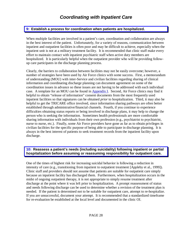#### <span id="page-27-0"></span>**9: Establish a process for coordination when patients are hospitalized.**

When multiple facilities are involved in a patient's care, coordination and collaboration are always in the best interest of the patient. Unfortunately, for a variety of reasons, communication between inpatient and outpatient facilities is often poor and may be difficult to achieve, especially when the inpatient unit is not at a military treatment facility. It is recommended that clinic staff make every effort to maintain contact with inpatient psychiatric staff when active duty members are hospitalized. It is particularly helpful when the outpatient provider who will be providing followup care participates in the discharge planning process.

Clearly, the barriers to collaboration between facilities may not be easily overcome; however, a number of strategies have been used by Air Force clinics with some success. First, a memorandum of understanding (MOU) with inter-Service and civilian facilities regarding sharing of clinical information and coordinating discharge planning can document agreement on some of the coordination issues in advance so these issues are not having to be addressed with each individual case. A template for an MOU can be found in **Appendix I**. Second, Air Force clinics may find it helpful to obtain "release of information" consent documents from the most frequently used inpatient facilities so that signatures can be obtained *prior* to hospitalization. Third, it may also be helpful to get the TRICARE office involved, since information sharing pathways are often better established through administrative/financial channels. Fourth, if you continue to experience difficulties obtaining status reports or being involved in discharge plans, it may help to change the person who is seeking the information. Sometimes health professionals are more comfortable sharing information with individuals from their own profession (e.g., psychiatrist to psychiatrist, nurse to nurse, etc.). Finally, some Air Force providers have gone as far as to obtain privileges in civilian facilities for the specific purpose of being able to participate in discharge planning. It is always in the best interest of patients to seek treatment records from the inpatient facility upon discharge.

#### **10: Reassess a patient's needs (including suicidality) following inpatient or partial hospitalization before assuming or reassuming responsibility for outpatient care.**

One of the times of highest risk for increasing suicidal behavior is following a reduction in intensity of care (e.g., transitioning from inpatient to outpatient treatment [Appleby et al., 1999]). Clinic staff and providers should not assume that patients are suitable for outpatient care simply because an inpatient facility has discharged them. Furthermore, when hospitalization occurs in the midst of ongoing outpatient therapy, it is not appropriate to simply resume treatment after discharge at the point where it was left prior to hospitalization. A prompt reassessment of status and needs following discharge can be used to determine whether a revision of the treatment plan is needed. If the patient is determined not to be suitable for outpatient care, attempt to re-hospitalize. If you are unsuccessful, document your attempt. It is recommended that a standardized timeframe for re-evaluation be established at the local level and documented in the clinic OI.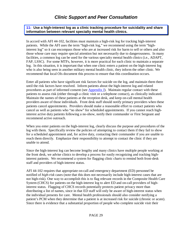## **Clinic Support and Peer Consultation**

<span id="page-28-0"></span>**11: Use a high-interest log as a clinic tracking procedure for suicidality and share information between relevant specialty mental health clinics.**

In accord with AFI 44-102, facilities must maintain a high-risk log for tracking high-interest patients. While the AFI uses the term "high-risk log," we recommend using the term "highinterest log" so it can encompass those who are at increased risk for harm to self or others and also those whose care may require special attention but not necessarily due to dangerousness. In many facilities, a common log can be used for the various specialty mental health clinics (i.e., ADAPT, FAP, LSSC). For some MTFs, however, it is more practical for each clinic to maintain a separate log. In this situation, it is important that when one clinic enters a patient on the high-interest log who is also being seen in another military mental health clinic, they inform the other clinic. We recommend that local OIs document this process to ensure that this coordination occurs.

Enter all patients who have significant risk factors for suicide on the log, and maintain them there until the risk factors have resolved. Inform patients about the high-interest log and related procedures as part of informed consent (see Appendix J). Maintain regular contact with these patients to assess risk (either through a clinic visit or a telephone contact), as clinically indicated. Maintain the names of these patients at the reception desk, and keep on-call mental health providers aware of those individuals. Front desk staff should notify primary providers when these patients cancel appointments. Providers should make a reasonable effort to contact patients who cancel as well as patients who "no show" for scheduled appointments. If you cannot reach highinterest active duty patients following a no-show, notify their commander or First Sergeant and recommend active outreach.

When you enter patients on the high-interest log, clearly discuss the purpose and procedures of the log with them. Specifically review the policies of attempting to contact them if they fail to show for a scheduled appointment and, for active duty, contacting their commander if you are unable to reach them directly. Emphasize their responsibility to attempt to contact the clinic if they are unable to attend.

Since the high-interest log can become lengthy and many clinics have multiple people working at the front desk, we advise clinics to develop a process for easily recognizing and tracking highinterest patients. We recommend a system for flagging clinic charts to remind both front-desk staff and providers of high-interest status.

AFI 44-102 requires that appropriate on-call and emergency department (ED) personnel be notified of *high-risk* cases (note that this does not necessarily include high-interest cases that are not high-risk). One way to accomplish this is to flag relevant records in the Composite Health Care System (CHCS) for patients on the high-interest log to alert ED and on-call providers of highinterest status. Flagging of CHCS records potentially protects patient privacy more than distributing a list of names, since in that ED staff will only be aware of high-interest status when the individual presents for care. Mental health professionals should also consider notifying a patient's PCM when they determine that a patient is at increased risk for suicide (chronic or acute). Since there is evidence that a substantial proportion of people who complete suicide visit their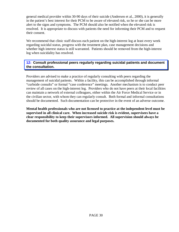<span id="page-29-0"></span>general medical provider within 30-90 days of their suicide (Andersen et al., 2000), it is generally in the patient's best interest for their PCM to be aware of elevated risk, so he or she can be more alert to the signs and symptoms. The PCM should also be notified when the elevated risk is resolved. It is appropriate to discuss with patients the need for informing their PCM and to request their consent.

We recommend that clinic staff discuss each patient on the high-interest log at least every week regarding suicidal status, progress with the treatment plan, case management decisions and whether high interest status is still warranted. Patients should be removed from the high-interest log when suicidality has resolved.

#### **12: Consult professional peers regularly regarding suicidal patients and document the consultation.**

Providers are advised to make a practice of regularly consulting with peers regarding the management of suicidal patients. Within a facility, this can be accomplished through informal "curbside consults" or formal "case conference" meetings. Another mechanism is to conduct peer review of all cases on the high-interest log. Providers who do not have peers at their local facilities can maintain a network of external colleagues, either within the Air Force Medical Service or in the civilian sector, with whom they can regularly consult. Both formal and informal consultations should be documented. Such documentation can be protective in the event of an adverse outcome.

**Mental health professionals who are not licensed to practice at the independent level must be supervised in all clinical care. When increased suicide risk is evident, supervisees have a clear responsibility to keep their supervisors informed. All supervision should always be documented for both quality assurance and legal purposes.**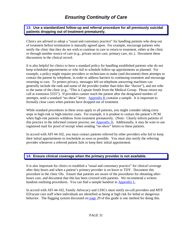# **Ensuring Continuity of Care**

<span id="page-30-0"></span>**13: Use a standardized follow-up and referral procedure for all previously suicidal patients dropping out of treatment prematurely.**

Clinics are advised to adopt a "usual and customary practice" for handling patients who drop out of treatment before termination is mutually agreed upon. For example, encourage patients who notify the clinic that they do not wish to continue in care to return to treatment, either at the clinic or through another source of care (e.g., private sector care, primary care, etc.). Document these discussions in the clinical record.

It is also helpful for clinics to have a standard policy for handling established patients who do not keep scheduled appointments or who fail to schedule follow-up appointments as planned. For example, a policy might require providers or technicians to make (and document) three attempts to contact the patient by telephone, in order to address barriers to continuing treatment and encourage returning to care. To protect privacy, messages left on telephone answering machines can generally include the rank and name of the provider (rather than titles like "doctor"), and not refer to the name of the clinic (e.g., "This is Captain Smith from the Medical Group. Please return my call at extension 5555"). If providers cannot reach the patient after the designated number of attempts, send a standard "no-show" letter. Appendix K contains a sample. It is important to formally close cases when patients have dropped out of treatment.

While standard procedures in these areas apply to all patients, you might consider taking extra steps in high-risk or high-interest cases. For example, it is prudent to contact the patient's PCM when high-risk patients withdraw from treatment prematurely. (Note: Clearly inform patients of this practice in the informed consent process; see  $\Delta$ ppendix  $J$ ). Additionally, it may be wise to use registered mail for proof of receipt when sending "no-show" letters to these patients.

In accord with AFI 44-102, you must contact patients referred by other providers who fail to keep their initial appointments to reschedule as soon as possible. You must also notify the referring provider whenever a referred patient fails to keep their initial appointment.

#### **14: Ensure clinical coverage when the primary provider is not available.**

It is also important for clinics to establish a "usual and customary practice" for clinical coverage after duty hours and when a patient's primary provider is on leave or TDY. Document this procedure in the clinic OIs. Ensure that patients are aware of the procedures for obtaining afterhours care, and document that this has been covered with patients. We recommend a written handout outlining procedures. You can find a sample handout in **Appendix L**.

In accord with AFI 44-102, Family Advocacy and LSSCs must notify on-call providers and MTF ED/acute care staff when individuals are identified as being at high risk for lethal or dangerous behavior. The flagging system discussed on [page](#page-28-0) 29 of this guide is one method for doing this.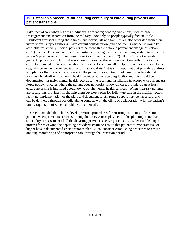#### <span id="page-31-0"></span>**15: Establish a procedure for ensuring continuity of care during provider and patient transitions.**

Take special care when high-risk individuals are facing pending transitions, such as base reassignment and separation from the military. Not only do people typically face multiple significant stressors during these times, but individuals and families are also separated from their interpersonal support systems. Give careful consideration (and document) whether it would be advisable for actively suicidal patients to be more stable before a permanent change of station (PCS) occurs. This emphasizes the importance of using the physical profiling system to reflect the patient's psychiatric status and limitations (see recommendation 7). If a PCS is not advisable given the patient's condition, it is necessary to discuss this recommendation with the patient's current commander. When relocation is expected to be clinically helpful in reducing suicidal risk (e.g., the current environment is a factor in suicidal risk), it is still important that providers address and plan for the stress of transition with the patient. For continuity of care, providers should arrange a hand-off with a mental health provider at the receiving facility and this should be documented. Transfer mental health records to the receiving installation in accord with current Air Force policy. In cases where the patient does not desire follow-up care, providers can at least ensure he or she is informed about how to obtain mental health services. When high-risk patients are separating, providers might help them develop a plan for follow-up care in the civilian sector, facilitate implementation of the plan, and document it. En route support may be necessary, and can be delivered through periodic phone contacts with the clinic or collaboration with the patient's family (again, all of which should be documented).

It is recommended that clinics develop written procedures for ensuring continuity of care for patients when providers are transitioning due to PCS or deployment. This plan might involve suicidality reassessment of all the departing provider's active patients. Consider establishing a process for reviewing the departing providers' charts to ensure that patients at moderate risk or higher have a documented crisis response plan. Also, consider establishing processes to ensure ongoing monitoring and appropriate care through the transition period.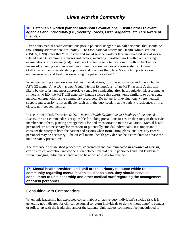<span id="page-32-0"></span>**16: Establish a written plan for after-hours evaluations. Ensure other relevant agencies and individuals (i.e., Security Forces, First Sergeants, etc.) are aware of the plan.**

After-hours mental health evaluations pose a potential danger to on-call personnel that should be thoughtfully addressed in local policy. The Occupational Safety and Health Administration (OSHA, 1998) notes that "health care and social service workers face an increased risk of workrelated assaults stemming from several factors, including…isolated work with clients during examinations or treatment (and)…solo work, often in remote locations… with no back-up or means of obtaining assistance such as communication devices or alarm systems." Given this, OSHA recommends establishing policies and practices that place "as much importance on employee safety and health as on serving the patient or client."

When conducting after-hours mental health evaluations, do so in accordance with the 2 Dec 02 AF/SG2 memo, *After Duty Hours Mental Health Evaluations*. If an MTF has an ED, this will likely be the safest and most appropriate venue for conducting after-hours suicide risk assessments. If there is no ED, the MTF will generally handle suicide risk assessments similarly to other acute medical emergencies, using community resources. Do not perform evaluations where medical support and security is not available, such as in the duty section, at the patient's residence, or in a closed, non-bedded facility.

In accord with DoD Directive 6490.1, *Mental Health Evaluations of Members of the Armed Forces*, the unit commander is responsible for taking precautions to ensure the safety of the service member and others, pending arrangements for and transportation to the evaluation. Mental health personnel are not necessary for transport of potentially suicidal individuals. It is important to consider the safety of both the patient and escorts when formulating plans, and Security Forces personnel may be necessary. The on-call mental health provider can be a consultant to advise the unit on safety precautions.

The presence of established procedures, coordinated and communicated **in advance of a crisis**, can ensure collaboration and cooperation between mental health personnel and unit leadership when managing individuals perceived to be at possible risk for suicide.

**17: Mental health providers and staff are the primary resource within the base community regarding mental health issues; as such, they should serve as consultants to unit leadership and other medical staff regarding the management of at-risk personnel.**

### Consulting with Commanders

When unit leadership has expressed concern about an active duty individual's suicide risk, it is generally not indicated for clinical personnel to return individuals to duty without *ongoing* contact or follow-up with the leadership and/or the patient. Unit leaders commonly feel unequipped to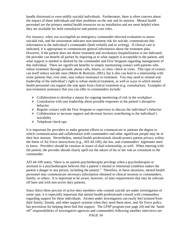handle distressed or even mildly suicidal individuals. Furthermore, there is often concern about the impact of these individuals and their problems on the unit and its mission. Mental health personnel are the primary mental health resources on an installation and are most helpful when they are available for both consultative and patient-care roles.

For instance, when you accomplish an emergency commander-directed evaluation to assess suicidal risk, and the assessment indicates non-imminent risk for suicide, communicate this information to the individual's commander (both verbally and in writing). If clinical care is indicated, it is appropriate to communicate general information about the treatment plan. However, if the patient does not desire treatment and involuntary hospitalization is not indicated, the provider can benefit all parties by inquiring as to what support is acceptable to the patient, and what support is needed or desired by the commander and First Sergeant regarding management of this individual. There are significant benefits to simply maintaining contact with patients who refuse treatment through periodic phone calls, letters, or clinic check-in visits. This type of contact can itself reduce suicide rates (Motto & Bostrum, 2001), but it also can lead to a relationship with some patients that, over time, may reduce resistance to treatment. You may need to remind unit leadership of the individual's right to refuse medical treatment, as well as ways in which mental health personnel can support the unit apart from clinical treatment (e.g. consultation). Examples of non-treatment assistance that you can offer to commanders include:

- $\triangleright$  Collaboration to develop a means for ongoing monitoring of risk in the workplace
- $\triangleright$  Consultation with unit leadership about possible responses to the patient's disruptive behavior
- $\triangleright$  Regular contact with the First Sergeant or supervisor to discuss the individual's behavior
- $\triangleright$  Collaboration to increase support and decrease factors contributing to the individual's suicidality
- $\triangleright$  Telephone check-ups

It is important for providers to make genuine efforts to communicate to patients the degree to which communication and collaboration with commanders and other significant people may be in their best interest. Nevertheless, mental health professionals should protect patient privacy within the limits of Air Force instructions (e.g., AFI 44-109), the law, and commanders' legitimate need to know. Providers should be cautious in issues of dual relationship, as well. When meeting with the patient, the provider should clearly spell out the nature of his or her role as consultant to the commander.

AFI 44-109 states, "there is no patient-psychotherapist privilege when a psychotherapist or assistant to a psychotherapist believes that a patient's mental or emotional condition makes the patient a danger to any person, including the patient." Therefore, in these situations, mental health personnel may communicate necessary information obtained in clinical sessions to commanders, family, or others. It is important to be aware, however, of state requirements that may be relevant off base and with non-active duty patients.

Since thirty-three percent of active duty members who commit suicide are under investigation of some type, it is especially important that mental health professionals consult with commanders regarding support for these individuals. Airmen under investigation can easily feel isolated from their family, friends, and other support systems when they need them most, and Air Force policy has provisions for helping them find this support. The LPSP program (see page 24) and the 'handoff" responsibilities of investigative agencies and commanders following member interviews are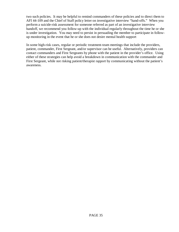two such policies. It may be helpful to remind commanders of these policies and to direct them to AFI 44-109 and the Chief of Staff policy letter on investigative interview "hand-offs." When you perform a suicide-risk assessment for someone referred as part of an investigative interview handoff, we recommend you follow-up with the individual regularly throughout the time he or she is under investigation. You may need to persist in persuading the member to participate in followup monitoring in the event that he or she does not desire mental health support

In some high-risk cases, regular or periodic treatment-team meetings that include the providers, patient, commander, First Sergeant, and/or supervisor can be useful. Alternatively, providers can contact commanders and First Sergeants by phone with the patient in the provider's office. Using either of these strategies can help avoid a breakdown in communication with the commander and First Sergeant, while not risking patient/therapist rapport by communicating without the patient's awareness.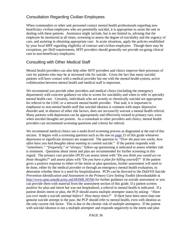### Consultation Regarding Civilian Employees

When commanders or other unit personnel contact mental health professionals regarding nonbeneficiary civilian employees who are potentially suicidal, it is appropriate to assist the unit in dealing with these patients. Assistance might include, but is not limited to, advising that the employee be monitored at all times, screening to assess the degree of suicidality and the urgency of care, and assisting in obtaining appropriate care. In acute situations, apply the policies established by your local MPF regarding eligibility of contract and civilian employees. Though there may be exceptions, per DoD requirements, MTF providers should generally not provide on-going clinical care to non-beneficiary employees.

### Consulting with Other Medical Staff

Mental health providers can also help other MTF providers and clinics improve their processes of care for patients who may be at increased risk for suicide. Given the fact that many suicidal patients will have contact with a medical provider but not with the mental health system, active collaboration between mental health and medical staff is important.

We recommend you provide other providers and medical clinics (including the emergency department) with concrete guidance on who to screen for suicidality and when to refer to specialty mental health care. Certainly, individuals who are acutely or chronically suicidal are appropriate for referral to the LSSC or a network mental health provider. That said, it is important to emphasize to non-mental health staff that suicidal ideation is common with major depressive disorder and, in absence of other risk factors, does not *necessarily* warrant a mental health referral. Many patients with depression can be appropriately and effectively treated in primary care, even when suicidal thoughts are present. As a consultant to other providers and clinics, mental health providers can recommend screening questions and criteria for referral.

We recommend medical clinics use a multi-level screening process as diagramed at the end of this section. It begins with a screening question such as the one on [page](#page-14-0) 15 of this guide whenever depression or significant stressors are suspected. The question is: "*Over the past two weeks, how often have you had thoughts about wanting to commit suicide*." If the patient responds with "*sometimes," "frequently*," or "*always*," follow-up questioning is indicated to assess whether risk is imminent. Questions about intent and plan are recommended for further screening in this regard. The primary care provider (PCP) can assess intent with "*Do you think you would act on those thoughts?*" and assess plans with "*Do you have a plan for killing yourself?*" If the patient gives a positive response to either of the intent or plan questions, further assessment will need to be done, either by the medical provider or through an emergency mental health evaluation, to determine whether there is a need for hospitalization. PCPs can be directed to the *DoD/VA Suicide Prevention Identification and Assessment in the Primary Care Setting Toolkit* (downloadable at [http://www.qmo.amedd.army.mil/HOME.HT](http://www.qmo.amedd.army.mil/)M) for further guidance on suicide assessment or you can provide them with material from the assessment section of this guide. If a patient screens positive for plan and intent but was not hospitalized, a referral to mental health is indicated. If a patient denies intent or plan, the PCP should assess multiple attempter status by asking: *"Have you ever made a suicide attempt before? How many times?*" If there have been more than one genuine suicide attempt in the past, the PCP should refer to mental health, even with ideation as the only current risk factor. This is due to the chronic risk of multiple attempters. If the patient with suicidal ideation is not a multiple attempter and responds negatively to the intent and plan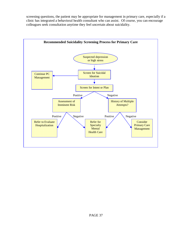screening questions, the patient may be appropriate for management in primary care, especially if a clinic has integrated a behavioral health consultant who can assist. Of course, you can encourage colleagues seek consultation anytime they feel uncertain about suicidality.

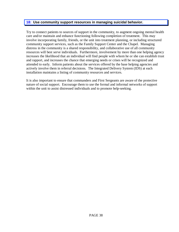#### <span id="page-37-0"></span>**18: Use community support resources in managing suicidal behavior.**

Try to connect patients to sources of support in the community, to augment ongoing mental health care and/or maintain and enhance functioning following completion of treatment. This may involve incorporating family, friends, or the unit into treatment planning, or including structured community support services, such as the Family Support Center and the Chapel. Managing distress in the community is a shared responsibility, and collaborative use of all community resources will best serve individuals. Furthermore, involvement by more than one helping agency increases the likelihood that an individual will find people with whom he or she can establish trust and rapport, and increases the chance that emerging needs or crises will be recognized and attended to early. Inform patients about the services offered by the base helping agencies and actively involve them in referral decisions. The Integrated Delivery System (IDS) at each installation maintains a listing of community resources and services.

It is also important to ensure that commanders and First Sergeants are aware of the protective nature of social support. Encourage them to use the formal and informal networks of support within the unit to assist distressed individuals and to promote help-seeking.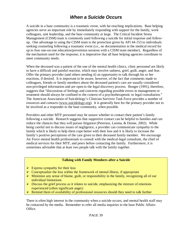# **When a Suicide Occurs**

A suicide in a base community is a traumatic event, with far-reaching implications. Base helping agencies serve an important role by immediately responding with support for the family, work colleagues, unit leadership, and the base community at large. The Critical Incident Stress Management (CISM) team is commonly used following a suicide for initial response and followup. One advantage to using the CISM team is the protection given by AFI 44-153 to individuals seeking counseling following a traumatic event (i.e., no documentation in the medical record for up to four one-on-one education/prevention sessions with a CISM team member). Regardless of the mechanism used for the response, it is imperative that all base helping agencies coordinate to meet community needs.

When the deceased was a patient of the one of the mental health clinics, clinic personnel are likely to have a difficult and painful reaction, which may involve sadness, grief, guilt, anger, and fear. Offer the primary provider (and others needing it) an opportunity to talk through his or her reactions, if desired. It is important to be aware, however, of the fact that comments made to colleagues, friends or family members about the deceased patient's care are usually considered non-privileged information and are open to the legal discovery process. Bonger (1991), therefore, suggests that "discussions of feelings and concerns regarding possible errors in management or treatment should always be confined to the context of a psychotherapeutic or legal consultation." The American Association of Suicidology's Clinician Survivor Task Force provides a number of resources and contacts [\(www.suicidology.org](http://www.suicidology.org/)). It is generally best for the primary provider not to be involved as a responder to the base community, when possible.

Providers and other MTF personnel may be unsure whether to contact their patient's family following a suicide. Research suggests that supportive contact can be helpful to families and can reduce the chances that they will pursue litigation (Peterson, Luoma, & Dunne, 2002). While being careful not to discuss issues of negligence, a provider can communicate sympathy to the family which is likely to help them cope better with their loss and it is likely to increase the family's positive perceptions of the care given to their deceased family member. We encourage Air Force mental health professionals to consult with the medical-legal consultant, the chief of medical services for their MTF, and peers before contacting the family. Furthermore, it is sometimes advisable that at least two people talk with the family together.

#### **Talking with Family Members after a Suicide**

- $\triangleright$  Express sympathy for their loss
- $\triangleright$  Conceptualize the loss within the framework of mental illness, if appropriate
- $\triangleright$  Minimize any sense of blame, guilt, or responsibility in the family, recognizing all of our individual limitations
- $\triangleright$  Discuss the grief process as it relates to suicide, emphasizing the mixture of emotions experienced (often significant anger)
- $\triangleright$  Remind them of availability of professional resources should they need to talk further

There is often high interest in the community when a suicide occurs, and mental health staff may be contacted by the media. Remember to refer all media inquiries to the base Public Affairs Office.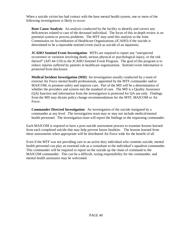When a suicide victim has had contact with the base mental health system, one or more of the following investigations is likely to occur:

**Root Cause Analysis**: An analysis conducted by the facility to identify and correct any deficiencies related to care of the deceased individual. The focus of this in-depth review is on potential system or process problems. The MTF may send this analysis to the Joint Commission on Accreditation of Healthcare Organizations (JCAHO) if the suicide is determined to be a reportable sentinel event (such as suicide of an inpatient).

**JCAHO Sentinel Event Investigation**: MTFs are required to report any "unexpected occurrence or variation involving death, serious physical or psychological injury, or the risk thereof" (AFI 44-119) to the JCAHO Sentinel Event Program. The goal of this program is to reduce injuries suffered by patients in healthcare organizations. Sentinel event information is protected from disclosure.

**Medical Incident Investigation (MII)**: An investigation usually conducted by a team of external Air Force mental health professionals, appointed by the MTF commander and/or MAJCOM, to promote safety and improve care. Part of the MII will be a determination of whether the providers and system met the standard of care. The MII is a Quality Assurance (QA) function and information from the investigation is protected for QA use only. Findings from the MII may dictate policy change recommendations for the MTF, MAJCOM or Air Force.

**Commander Directed Investigation**: An investigation of the suicide instigated by a commander at any level. The investigation team may or may not include medical/mental health personnel. The investigation team will report the findings to the requesting commander.

Each MAJCOM is required to have a post-suicide assessment process to examine lessons learned from each completed suicide that may help prevent future fatalities. The lessons learned from these assessments when appropriate will be distributed Air Force wide for the benefit of all.

Even if the MTF was not providing care to an active duty individual who commits suicide, mental health personnel can play an essential role as a consultant to the individual's squadron commander. This commander will be required to report on the suicide up the chain of command to the MAJCOM commander. This can be a difficult, taxing responsibility for the commander, and mental health assistance may be welcomed.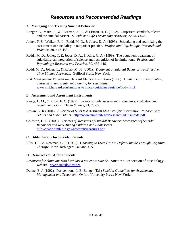### **Resources and Recommended Readings**

#### **A. Managing and Treating Suicidal Behavior**

- Bonger, B., Maris, R. W., Berman, A. L., & Litman, R. E. (1992). Outpatient standards of care and the suicidal patient. *Suicide and Life Threatening Behavior*, 22, 453-478.
- Joiner, T. E., Walker, R. L., Rudd, M. D., & Jobes, D. A. (1999). Scientizing and routinizing the assessment of suicidality in outpatient practice. *Professional Psychology: Research and Practice*, 30, 447-453.
- Rudd., M. D., Joiner, T. E, Jobes, D. A., & King, C. A. (1999). The outpatient treatment of suicidality: an integration of science and recognition of its limitations. *Professional Psychology: Research and Practice*, 30, 437-446.
- Rudd, M. D., Joiner, T., & Rajab, M. H. (2001). *Treatment of Suicidal Behavior: An Effective, Time Limited Approach*. Guilford Press: New York.
- Risk Management Foundation, Harvard Medical Institutions (1996). *Guideline for identification, assessment, and treatment planning for suicidality*. [www.rmf.harvard.edu/rmlibrary/clinical-guidelines/suicide/body.htm](http://www.rmf.harvard.edu/rmlibrary/clinical-guidelines/suicide/body.html)l

#### **B. Assessment and Assessment Instruments**

- Range, L. M., & Knott, E. C. (1997). Twenty suicide assessment instruments: evaluation and recommendations. *Death Studies*, 21, 25-59.
- Brown, G. K (2001). *A Review of Suicide Assessment Measures for Intervention Research with Adults and Older Adults*. [http://www.nimh.nih.gov/research/adultsuicide.pd](http://www.nimh.nih.gov/research/adultsuicide.pdf)f.
- Goldston, D. B. (2000). *[Reviews of Measures of Suicidal Behavior: Assessment of Suicidal](http://www.nimh.nih.gov/research/measures.pdf)  [Behaviors and Risk Among Children and Adolescents](http://www.nimh.nih.gov/research/measures.pdf)*. [http://www.nimh.nih.gov/research/measures.pd](http://www.nimh.nih.gov/research/measures.pdf)f

#### **C. Bibliotherapy for Suicidal Patients**

Ellis, T. E. & Newman, C. F. (1996). *Choosing to Live: How to Defeat Suicide Through Cognitive Therapy*. New Harbinger: Oakland, CA.

#### **D. Resources for After a Suicide**

- *Resources for clinicians who have lost a patient to suicide*. American Association of Suicidology website. [www.suicidology.org](http://www.suicidology.org/)
- Dunne, E. J. (1992). Postvention. In B. Bonger (Ed.) *Suicide: Guidelines for Assessment, Management and Treatment*. Oxford University Press: New York.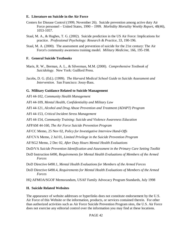#### **E. Literature on Suicide in the Air Force**

- Centers for Disease Control (1999, November 26). Suicide prevention among active duty Air Force personnel – United States, 1990 – 1999. *Morbidity Mortality Weekly Report*, 48(46), 1053-1057.
- [Staal, M. A](http://ehostvgw8.epnet.com/resultlist.asp?booleanTerm=AR+%22Staal%2c%20Mark%20A%2e%22)., & [Hughes, T. G](http://ehostvgw8.epnet.com/resultlist.asp?booleanTerm=AR+%22Hughes%2c%20Thomas%20G%2e%22). (2002). Suicide prediction in the US Air Force: Implications for practice. *Professional Psychology: Research & Practice*, 33, 190-196.
- Staal, M. A. (2000). The assessment and prevention of suicide for the 21st century: The Air Force's community awareness training model. *Military Medicine*, 166, 195-198.

#### **F. General Suicide Textbooks**

- Maris, R. W., Berman, A. L., & Silverman, M.M. (2000). *Comprehensive Textbook of Suicidology*. New York: Guilford Press.
- Jacobs, D. G. (Ed.). (1999). *The Harvard Medical School Guide to Suicide Assessment and Intervention*. San Francisco: Jossy-Bass.

#### **G. Military Guidance Related to Suicide Management**

AFI 44-102, *Community Health Management*

AFI 44-109, *Mental Health, Confidentiality and Military Law*

AFI 44-121, *Alcohol and Drug Abuse Prevention and Treatment (ADAPT) Program*

AFI 44-153, *Critical Incident Stress Management*

AFI 44-154, *Community Training: Suicide and Violence Awareness Education*

AFPAM 44-160, *The Air Force Suicide Prevention Program* 

AF/CC Memo, 25 Nov 02, *Policy for Investigative Interview Hand-Offs* 

AF/CVA Memo, 2 Jul 01, *Limited Privilege in the Suicide Prevention Program*

AF/SG2 Memo, 2 Dec 02, *After Duty Hours Mental Health Evaluations* 

DoD/VA *Suicide Prevention Identification and Assessment in the Primary Care Setting Toolkit*

- DoD Instruction 6490, *Requirements for Mental Health Evaluations of Members of the Armed Forces*
- DoD Directive 6490.1, *Mental Health Evaluations for Members of the Armed Forces*
- DoD Directive 6490.4, *Requirements for Mental Health Evaluations of Members of the Armed Forces*

HQ AFMOA/SGOF Memorandum, USAF Family Advocacy Program Standards, July 1998

#### **H. Suicide Related Websites**

The appearance of website addresses or hyperlinks does not constitute endorsement by the U.S. Air Force of this Website or the information, products, or services contained therein. For other than authorized activities such as Air Force Suicide Prevention Program sites, the U.S. Air Force does not exercise any editorial control over the information you may find at these locations.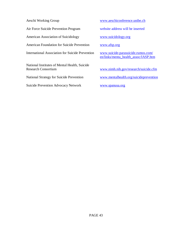| Aeschi Working Group                                                        | www.aeschiconference.unibe.ch                                              |
|-----------------------------------------------------------------------------|----------------------------------------------------------------------------|
| Air Force Suicide Prevention Program                                        | website address will be inserted                                           |
| American Association of Suicidology                                         | www.suicidology.org                                                        |
| <b>American Foundation for Suicide Prevention</b>                           | www.afsp.org                                                               |
| <b>International Association for Suicide Prevention</b>                     | www.suicide-parasuicide.rumos.com/<br>en/links/menta_health_assoc/IASP.htm |
| National Institutes of Mental Health, Suicide<br><b>Research Consortium</b> | www.nimh.nih.gov/research/suicide.cfm                                      |
| <b>National Strategy for Suicide Prevention</b>                             | www.mentalhealth.org/suicideprevention                                     |
| <b>Suicide Prevention Advocacy Network</b>                                  | www.spanusa.org                                                            |
|                                                                             |                                                                            |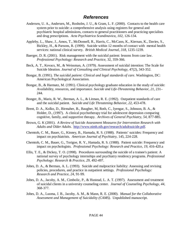### **References**

- Andersen, U. A., Andersen, M., Rosholm, J. U., & Gram, L. F. (2000). Contacts to the health care system prior to suicide: a comprehensive analysis using registers for general and psychiatric hospital admissions, contacts to general practitioners and practicing specialists and drug prescriptions. *Acta Psychiatrica Scandinavica*, *102*, 126-134.
- Appleby, L., Shaw, J., Amos, T., McDonnell, R., Harris, C., McCann, K., Kiernan, K., Davies, S., Bickley, H., & Parsons, R. (1999). Suicide within 12 months of contact with mental health services: national clinical survey. *British Medical Journal*, *318,* 1235-1239.
- Baerger, D. R. (2001). Risk management with the suicidal patient: lessons from case law. *Professional Psychology: Research and Practice*, 32, 359-366.
- Beck, A. T., Kovacs, M., & Weissman, A. (1979). Assessment of suicidal intention: The Scale for Suicide Ideation. *Journal of Consulting and Clinical Psychology*, 47(2), 343-352.
- Bongar, B. (1991). *The suicidal patient: Clinical and legal standards of care*. Washington, DC: American Psychological Association.
- Bongar, B., & Harmatz, M. (1991). Clinical psychology graduate education in the study of suicide: Availability, resources, and importance. *Suicide and Life-Threatening Behavior*, *21*, 231– 244.
- Bonger, B., Maris, R. W., Berman, A. L., & Litman, R. E. (1992). Outpatient standards of care and the suicidal patient. *Suicide and Life Threatening Behavior*, *22*, 453-478.
- Brent, D. A., Kolko, D., Birmaher, B., Baugher, M, Roth, C., Iyengar, S., Johnson, B. A., & Holder, D., (1997). A clinical psychotherapy trial for adolescent depression comparing cognitive, family, and supportive therapy. *Archives of General Psychiatry*, *54*, 877-885.
- Brown, G. K (2001). *A Review of Suicide Assessment Measures for Intervention Research with Adults and Older Adults*. [http://www.nimh.nih.gov/research/adultsuicide.pd](http://www.nimh.nih.gov/research/adultsuicide.pdf)f.
- Chemtob, C. M., Bauer, G., Kinney, B., Hamada, R. S. (1988). Patients' suicides: Frequency and impact on psychiatrists. *American Journal of Psychiatry*, 145, 224-228.
- Chemtob, C. M., Bauer, G., Torigoe, R. Y., Hamada, R. S. (1988). Patient suicide: Frequency and impact on psychologists. *Professional Psychology: Research and Practice*, *19*, 416-420.a
- Ellis, T. E., & Dickey, T. O. (1998). Procedures surrounding the suicide of a trainee's patient: A national survey of psychology internships and psychiatry residency programs. *Professional Psychology: Research & Practice, 29*, 492-497.
- Jobes, D. A., & Berman, A. L. (1993). Suicide and malpractice liability: Assessing and revising policies, procedures, and practice in outpatient settings. *Professional Psychology: Research and Practice*, *24*, 91-99.
- Jobes, D. A., Jacoby, A. M., Cimbolic, P., & Hustead, L. A. T. (1997). Assessment and treatment of suicidal clients in a university counseling center. *Journal of Counseling Psychology*, *44*, 368-377.
- Jobes, D. A., Luoma, J. B., Jacoby, A. M., & Mann, R. E. (2000). *Manual for the Collaborative Assessment and Management of Suicidality (CAMS).* Unpublished manuscript.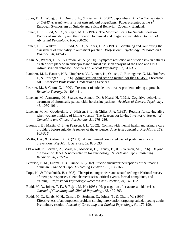- Jobes, D. A., Wong, S. A., Drozd, J. F., & Kiernan, A. (2002, September). *An effectiveness study of CAMS vs. treatment as usual with suicidal outpatients.* Paper presented at the 9<sup>th</sup> European Symposium on Suicide and Suicidal Behavior, Coventry, England.
- Joiner, T. E., Rudd, M. D., & Rajab, M. H. (1997). The Modified Scale for Suicidal Ideation: Factors of suicidality and their relation to clinical and diagnostic variables. *Journal of Abnormal Psychology*, *106*, 260-265.
- Joiner, T. E., Walker, R. L., Rudd, M. D., & Jobes, D. A. (1999). Scientizing and routinizing the assessment of suicidality in outpatient practice. *Professional Psychology: Research and Practice*, *30*, 447-453.
- Khan, A., Warner, H. A., & Brown, W. A. (2000). Symptom reduction and suicide risk in patients treated with placebo in antidepressant clinical trials: an analysis of the Food and Drug Administration database. *Archives of General Psychiatry*, *57*, 311-317.
- Lambert, M. J., Hansen, N.B., Umphress, V., Lunnen, K., Okiishi, J., Burlingame, G. M., Huefner, J., & Reisinger, C. (1996). Administration and scoring manual for the OQ 45.2. Stevenson, MD: American Professional Credentialing Services.
- Learner, M., & Chum, G. (1990). Treatment of suicide ideators: A problem-solving approach. *Behavior Therapy*, *21*, 403-411.
- Linehan, M., Armstrong, H., Suarez, A., Allmon, D., & Heard, H. (1991). Cognitive-behavioral treatment of chronically parasuicidal borderline patients. *Archives of General Psychiatry, 48,* 1060-1064.
- Linehan, M. M., Goodstein, L. J., Nielsen, S. L., & Chiles, J. A. (1983). Reasons for staying alive when you are thinking of killing yourself: The Reasons for Living Inventory. *Journal of Consulting and Clinical Psychology*, *51*, 276–286.
- Luoma, J. B., Martin, C. E., & Pearson, J. L. (2002). Contact with mental health and primary care providers before suicide: A review of the evidence. *American Journal of Psychiatry, 159, 909-916.*
- Motto, J. A., & Bostrum, A. G. (2001). A randomized controlled trial of postcrisis suicide prevention. *Psychiatric Services*, *52*, 828-833.
- O'Carroll, P., Berman, A., Maris, R., Moscicki, E., Tanney, B., & Silverman, M. (1996). Beyond the tower of Babel: A nomenclature for suicidology. *Suicide and Life Threatening Behavior*, *26*, 237-252.
- Peterson, E. M., Luoma, J. B., Dunne, E. (2002). Suicide survivors' perceptions of the treating clinician. *Suicide & Life-Threatening Behavior, 32,* 158-166.
- Pope, K., & Tabachnick, B. (1993). Therapists' anger, fear, and sexual feelings: National survey of therapist responses, client characteristics, critical events, formal complaints, and training. *Professional Psychology: Research and Practice*, *24*, 142-152.
- Rudd, M. D., Joiner, T. E., & Rajab, M. H. (1995). Help negation after acute suicidal crisis. *Journal of Consulting and Clinical Psychology*, *63*, 499-503
- Rudd, M. D., Rajab, M. H., Orman, D., Stulman, D., Joiner, T., & Dixon, W. (1996). Effectiveness of an outpatient problem-solving intervention targeting suicidal young adults: Preliminary results. *Journal of Consulting and Clinical Psychology*, *64*, 179-190.